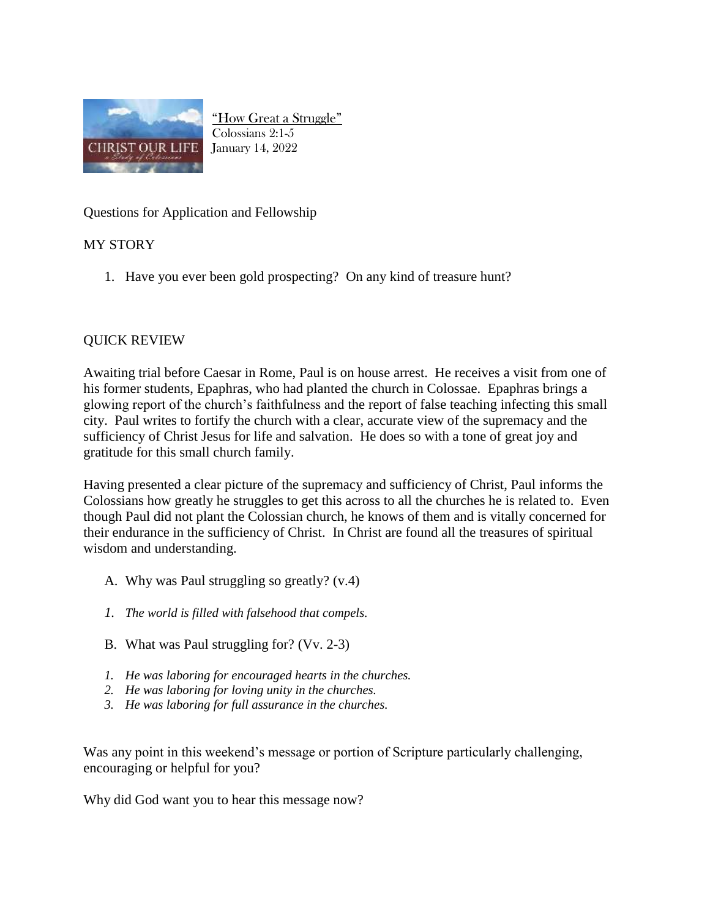

"How Great a Struggle" Colossians 2:1-5 January 14, 2022

Questions for Application and Fellowship

## MY STORY

1. Have you ever been gold prospecting? On any kind of treasure hunt?

## QUICK REVIEW

Awaiting trial before Caesar in Rome, Paul is on house arrest. He receives a visit from one of his former students, Epaphras, who had planted the church in Colossae. Epaphras brings a glowing report of the church's faithfulness and the report of false teaching infecting this small city. Paul writes to fortify the church with a clear, accurate view of the supremacy and the sufficiency of Christ Jesus for life and salvation. He does so with a tone of great joy and gratitude for this small church family.

Having presented a clear picture of the supremacy and sufficiency of Christ, Paul informs the Colossians how greatly he struggles to get this across to all the churches he is related to. Even though Paul did not plant the Colossian church, he knows of them and is vitally concerned for their endurance in the sufficiency of Christ. In Christ are found all the treasures of spiritual wisdom and understanding.

- A. Why was Paul struggling so greatly? (v.4)
- *1. The world is filled with falsehood that compels.*
- B. What was Paul struggling for? (Vv. 2-3)
- *1. He was laboring for encouraged hearts in the churches.*
- *2. He was laboring for loving unity in the churches.*
- *3. He was laboring for full assurance in the churches.*

Was any point in this weekend's message or portion of Scripture particularly challenging, encouraging or helpful for you?

Why did God want you to hear this message now?